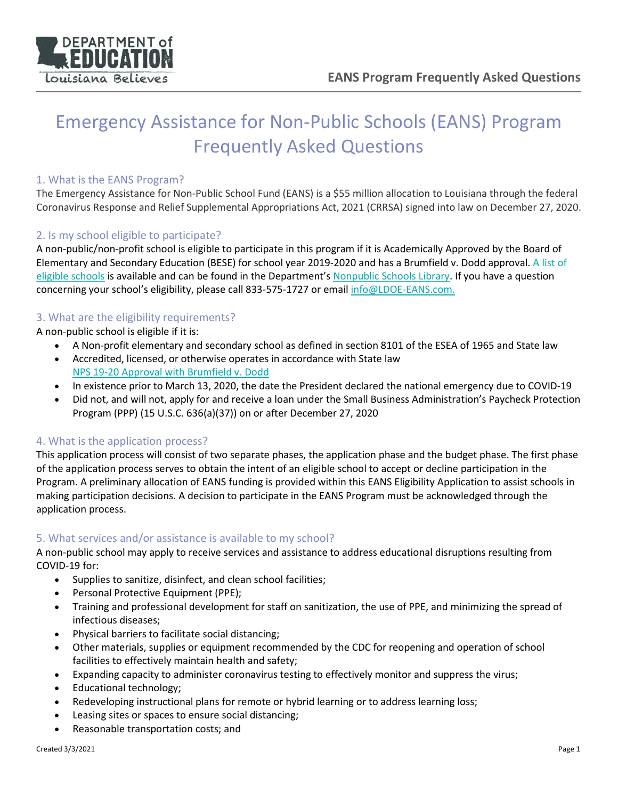

# Emergency Assistance for Non-Public Schools (EANS) Program Frequently Asked Questions

#### 1. What is the EANS Program?

The Emergency Assistance for Non-Public School Fund (EANS) is a \$55 million allocation to Louisiana through the federal Coronavirus Response and Relief Supplemental Appropriations Act, 2021 (CRRSA) signed into law on December 27, 2020.

#### 2. Is my school eligible to participate?

A non-public/non-profit school is eligible to participate in this program if it is Academically Approved by the Board of Elementary and Secondary Education (BESE) for school year 2019-2020 and has a Brumfield v. Dodd approval. [A list of](https://www.louisianabelieves.com/docs/default-source/nonpublic-schools/information---nps-2019-2020-approval-with-brumfield-v-dodd.xlsx?sfvrsn=4e709c1f_10)  [eligible schools](https://www.louisianabelieves.com/docs/default-source/nonpublic-schools/information---nps-2019-2020-approval-with-brumfield-v-dodd.xlsx?sfvrsn=4e709c1f_10) is available and can be found in the Department's [Nonpublic Schools Library.](https://louisianabelieves.com/resources/library/nonpublic-schools) If you have a question concerning your school's eligibility, please call 833-575-1727 or email info@LDOE-EANS.com.

#### 3. What are the eligibility requirements?

A non-public school is eligible if it is:

- A Non-profit elementary and secondary school as defined in section 8101 of the ESEA of 1965 and State law
- Accredited, licensed, or otherwise operates in accordance with State law [NPS 19-20 Approval with Brumfield v. Dodd](https://www.louisianabelieves.com/docs/default-source/nonpublic-schools/information---nps-2019-2020-approval-with-brumfield-v-dodd.xlsx?sfvrsn=4e709c1f_10)
- In existence prior to March 13, 2020, the date the President declared the national emergency due to COVID-19
- Did not, and will not, apply for and receive a loan under the Small Business Administration's Paycheck Protection Program (PPP) (15 U.S.C. 636(a)(37)) on or after December 27, 2020

# 4. What is the application process?

This application process will consist of two separate phases, the application phase and the budget phase. The first phase of the application process serves to obtain the intent of an eligible school to accept or decline participation in the Program. A preliminary allocation of EANS funding is provided within this EANS Eligibility Application to assist schools in making participation decisions. A decision to participate in the EANS Program must be acknowledged through the application process.

# 5. What services and/or assistance is available to my school?

A non-public school may apply to receive services and assistance to address educational disruptions resulting from COVID-19 for:

- Supplies to sanitize, disinfect, and clean school facilities;
- Personal Protective Equipment (PPE);
- Training and professional development for staff on sanitization, the use of PPE, and minimizing the spread of infectious diseases;
- Physical barriers to facilitate social distancing;
- Other materials, supplies or equipment recommended by the CDC for reopening and operation of school facilities to effectively maintain health and safety;
- Expanding capacity to administer coronavirus testing to effectively monitor and suppress the virus;
- Educational technology;
- Redeveloping instructional plans for remote or hybrid learning or to address learning loss;
- Leasing sites or spaces to ensure social distancing;
- Reasonable transportation costs; and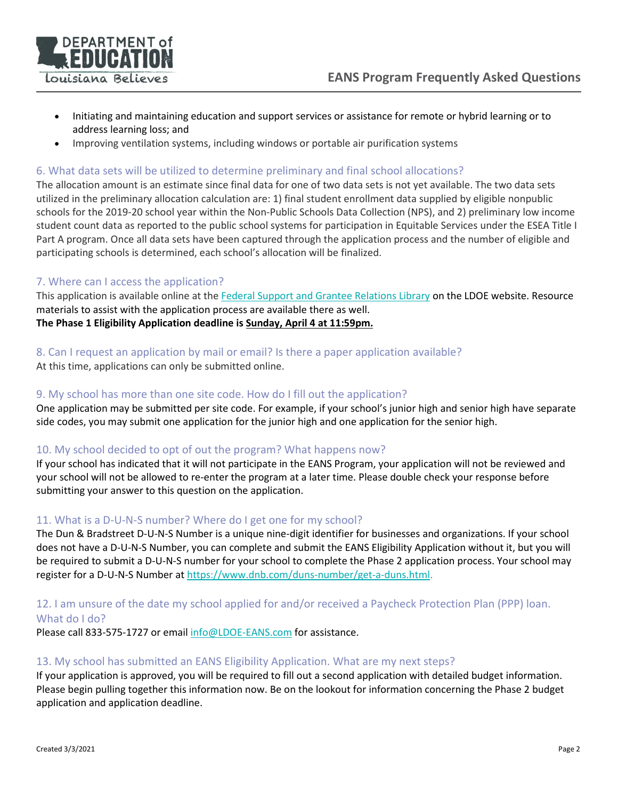



- Initiating and maintaining education and support services or assistance for remote or hybrid learning or to address learning loss; and
- Improving ventilation systems, including windows or portable air purification systems

# 6. What data sets will be utilized to determine preliminary and final school allocations?

The allocation amount is an estimate since final data for one of two data sets is not yet available. The two data sets utilized in the preliminary allocation calculation are: 1) final student enrollment data supplied by eligible nonpublic schools for the 2019-20 school year within the Non-Public Schools Data Collection (NPS), and 2) preliminary low income student count data as reported to the public school systems for participation in Equitable Services under the ESEA Title I Part A program. Once all data sets have been captured through the application process and the number of eligible and participating schools is determined, each school's allocation will be finalized.

#### 7. Where can I access the application?

This application is available online at the [Federal Support and Grantee Relations Library](https://www.louisianabelieves.com/resources/library/federal-support-and-grantee-relations-library) on the LDOE website. Resource materials to assist with the application process are available there as well. **The Phase 1 Eligibility Application deadline is Sunday, April 4 at 11:59pm.**

#### 8. Can I request an application by mail or email? Is there a paper application available?

At this time, applications can only be submitted online.

#### 9. My school has more than one site code. How do I fill out the application?

One application may be submitted per site code. For example, if your school's junior high and senior high have separate side codes, you may submit one application for the junior high and one application for the senior high.

# 10. My school decided to opt of out the program? What happens now?

If your school has indicated that it will not participate in the EANS Program, your application will not be reviewed and your school will not be allowed to re-enter the program at a later time. Please double check your response before submitting your answer to this question on the application.

# 11. What is a D-U-N-S number? Where do I get one for my school?

The Dun & Bradstreet D-U-N-S Number is a unique nine-digit identifier for businesses and organizations. If your school does not have a D-U-N-S Number, you can complete and submit the EANS Eligibility Application without it, but you will be required to submit a D-U-N-S number for your school to complete the Phase 2 application process. Your school may register for a D-U-N-S Number at [https://www.dnb.com/duns-number/get-a-duns.html.](https://www.dnb.com/duns-number/get-a-duns.html)

# 12. I am unsure of the date my school applied for and/or received a Paycheck Protection Plan (PPP) loan. What do I do?

Please call 833-575-1727 or email [info@LDOE-EANS.com](mailto:info@LDOE-EANS.com) for assistance.

#### 13. My school has submitted an EANS Eligibility Application. What are my next steps?

If your application is approved, you will be required to fill out a second application with detailed budget information. Please begin pulling together this information now. Be on the lookout for information concerning the Phase 2 budget application and application deadline.